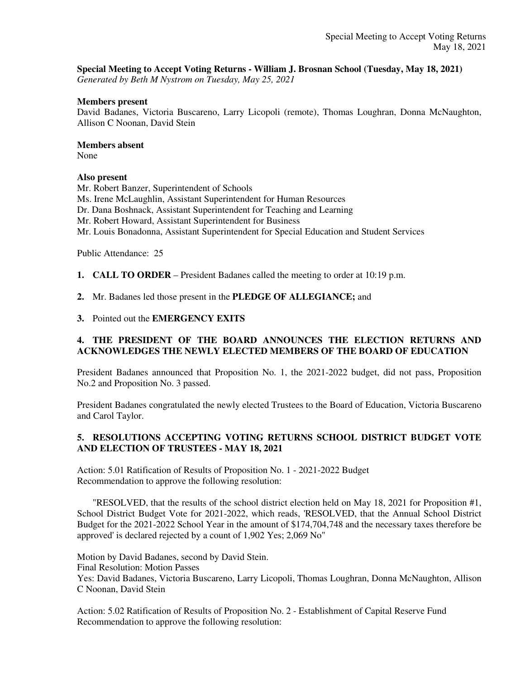## **Special Meeting to Accept Voting Returns - William J. Brosnan School (Tuesday, May 18, 2021)**

*Generated by Beth M Nystrom on Tuesday, May 25, 2021*

### **Members present**

David Badanes, Victoria Buscareno, Larry Licopoli (remote), Thomas Loughran, Donna McNaughton, Allison C Noonan, David Stein

### **Members absent**

None

## **Also present**

Mr. Robert Banzer, Superintendent of Schools Ms. Irene McLaughlin, Assistant Superintendent for Human Resources Dr. Dana Boshnack, Assistant Superintendent for Teaching and Learning Mr. Robert Howard, Assistant Superintendent for Business Mr. Louis Bonadonna, Assistant Superintendent for Special Education and Student Services

Public Attendance: 25

**1. CALL TO ORDER** – President Badanes called the meeting to order at 10:19 p.m.

**2.** Mr. Badanes led those present in the **PLEDGE OF ALLEGIANCE;** and

**3.** Pointed out the **EMERGENCY EXITS**

# **4. THE PRESIDENT OF THE BOARD ANNOUNCES THE ELECTION RETURNS AND ACKNOWLEDGES THE NEWLY ELECTED MEMBERS OF THE BOARD OF EDUCATION**

President Badanes announced that Proposition No. 1, the 2021-2022 budget, did not pass, Proposition No.2 and Proposition No. 3 passed.

President Badanes congratulated the newly elected Trustees to the Board of Education, Victoria Buscareno and Carol Taylor.

# **5. RESOLUTIONS ACCEPTING VOTING RETURNS SCHOOL DISTRICT BUDGET VOTE AND ELECTION OF TRUSTEES - MAY 18, 2021**

Action: 5.01 Ratification of Results of Proposition No. 1 - 2021-2022 Budget Recommendation to approve the following resolution:

 "RESOLVED, that the results of the school district election held on May 18, 2021 for Proposition #1, School District Budget Vote for 2021-2022, which reads, 'RESOLVED, that the Annual School District Budget for the 2021-2022 School Year in the amount of \$174,704,748 and the necessary taxes therefore be approved' is declared rejected by a count of 1,902 Yes; 2,069 No"

Motion by David Badanes, second by David Stein. Final Resolution: Motion Passes Yes: David Badanes, Victoria Buscareno, Larry Licopoli, Thomas Loughran, Donna McNaughton, Allison C Noonan, David Stein

Action: 5.02 Ratification of Results of Proposition No. 2 - Establishment of Capital Reserve Fund Recommendation to approve the following resolution: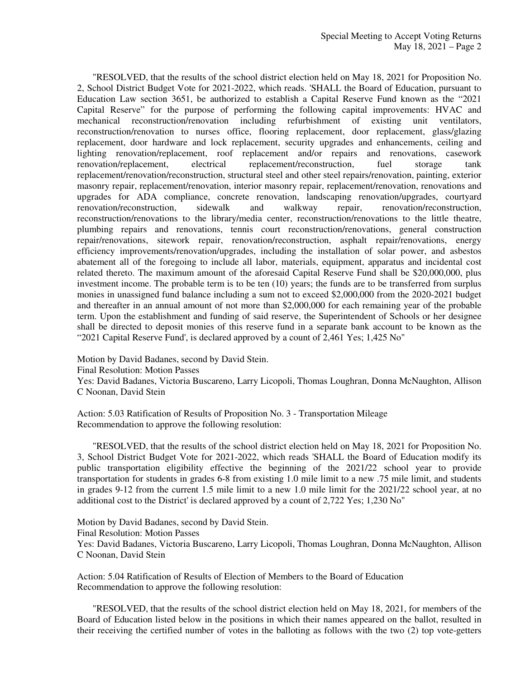"RESOLVED, that the results of the school district election held on May 18, 2021 for Proposition No. 2, School District Budget Vote for 2021-2022, which reads. 'SHALL the Board of Education, pursuant to Education Law section 3651, be authorized to establish a Capital Reserve Fund known as the "2021 Capital Reserve" for the purpose of performing the following capital improvements: HVAC and mechanical reconstruction/renovation including refurbishment of existing unit ventilators, reconstruction/renovation to nurses office, flooring replacement, door replacement, glass/glazing replacement, door hardware and lock replacement, security upgrades and enhancements, ceiling and lighting renovation/replacement, roof replacement and/or repairs and renovations, casework renovation/replacement, electrical replacement/reconstruction, fuel storage tank replacement/renovation/reconstruction, structural steel and other steel repairs/renovation, painting, exterior masonry repair, replacement/renovation, interior masonry repair, replacement/renovation, renovations and upgrades for ADA compliance, concrete renovation, landscaping renovation/upgrades, courtyard renovation/reconstruction, sidewalk and walkway repair, renovation/reconstruction, reconstruction/renovations to the library/media center, reconstruction/renovations to the little theatre, plumbing repairs and renovations, tennis court reconstruction/renovations, general construction repair/renovations, sitework repair, renovation/reconstruction, asphalt repair/renovations, energy efficiency improvements/renovation/upgrades, including the installation of solar power, and asbestos abatement all of the foregoing to include all labor, materials, equipment, apparatus and incidental cost related thereto. The maximum amount of the aforesaid Capital Reserve Fund shall be \$20,000,000, plus investment income. The probable term is to be ten (10) years; the funds are to be transferred from surplus monies in unassigned fund balance including a sum not to exceed \$2,000,000 from the 2020-2021 budget and thereafter in an annual amount of not more than \$2,000,000 for each remaining year of the probable term. Upon the establishment and funding of said reserve, the Superintendent of Schools or her designee shall be directed to deposit monies of this reserve fund in a separate bank account to be known as the "2021 Capital Reserve Fund', is declared approved by a count of 2,461 Yes; 1,425 No"

Motion by David Badanes, second by David Stein. Final Resolution: Motion Passes Yes: David Badanes, Victoria Buscareno, Larry Licopoli, Thomas Loughran, Donna McNaughton, Allison C Noonan, David Stein

Action: 5.03 Ratification of Results of Proposition No. 3 - Transportation Mileage Recommendation to approve the following resolution:

 "RESOLVED, that the results of the school district election held on May 18, 2021 for Proposition No. 3, School District Budget Vote for 2021-2022, which reads 'SHALL the Board of Education modify its public transportation eligibility effective the beginning of the 2021/22 school year to provide transportation for students in grades 6-8 from existing 1.0 mile limit to a new .75 mile limit, and students in grades 9-12 from the current 1.5 mile limit to a new 1.0 mile limit for the 2021/22 school year, at no additional cost to the District' is declared approved by a count of 2,722 Yes; 1,230 No"

Motion by David Badanes, second by David Stein. Final Resolution: Motion Passes Yes: David Badanes, Victoria Buscareno, Larry Licopoli, Thomas Loughran, Donna McNaughton, Allison C Noonan, David Stein

Action: 5.04 Ratification of Results of Election of Members to the Board of Education Recommendation to approve the following resolution:

 "RESOLVED, that the results of the school district election held on May 18, 2021, for members of the Board of Education listed below in the positions in which their names appeared on the ballot, resulted in their receiving the certified number of votes in the balloting as follows with the two (2) top vote-getters